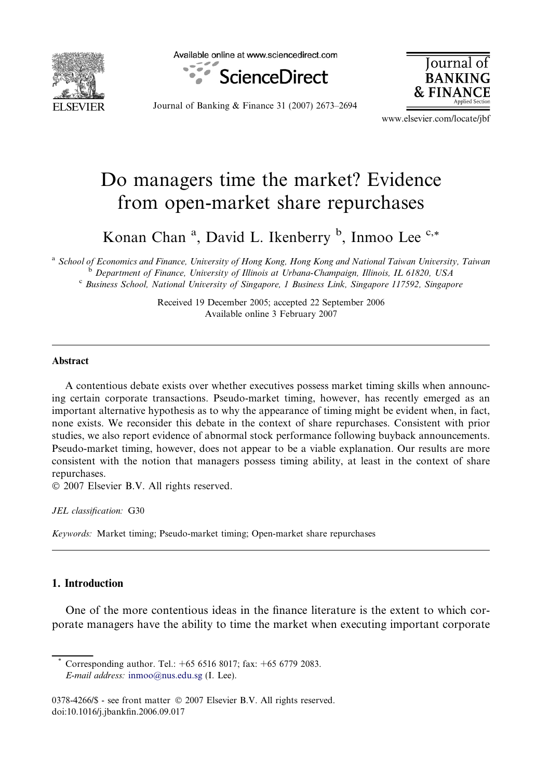

Available online at www.sciencedirect.com



Iournal **BANKING** & FINAI

Journal of Banking & Finance 31 (2007) 2673–2694

www.elsevier.com/locate/jbf

## Do managers time the market? Evidence from open-market share repurchases

Konan Chan<sup>a</sup>, David L. Ikenberry<sup>b</sup>, Inmoo Lee<sup>c,\*</sup>

a School of Economics and Finance, University of Hong Kong, Hong Kong and National Taiwan University, Taiwan <sup>b</sup> Department of Finance, University of Illinois at Urbana-Champaign, Illinois, IL 61820, USA <sup>c</sup> Business School, National University of Singapore, 1 Business Link, Singapore 117592, Singapore

> Received 19 December 2005; accepted 22 September 2006 Available online 3 February 2007

## Abstract

A contentious debate exists over whether executives possess market timing skills when announcing certain corporate transactions. Pseudo-market timing, however, has recently emerged as an important alternative hypothesis as to why the appearance of timing might be evident when, in fact, none exists. We reconsider this debate in the context of share repurchases. Consistent with prior studies, we also report evidence of abnormal stock performance following buyback announcements. Pseudo-market timing, however, does not appear to be a viable explanation. Our results are more consistent with the notion that managers possess timing ability, at least in the context of share repurchases.

 $© 2007 Elsevier B.V. All rights reserved.$ 

JEL classification: G30

Keywords: Market timing; Pseudo-market timing; Open-market share repurchases

## 1. Introduction

One of the more contentious ideas in the finance literature is the extent to which corporate managers have the ability to time the market when executing important corporate

Corresponding author. Tel.: +65 6516 8017; fax: +65 6779 2083. E-mail address: [inmoo@nus.edu.sg](mailto:inmoo@nus.edu.sg) (I. Lee).

<sup>0378-4266/\$ -</sup> see front matter © 2007 Elsevier B.V. All rights reserved. doi:10.1016/j.jbankfin.2006.09.017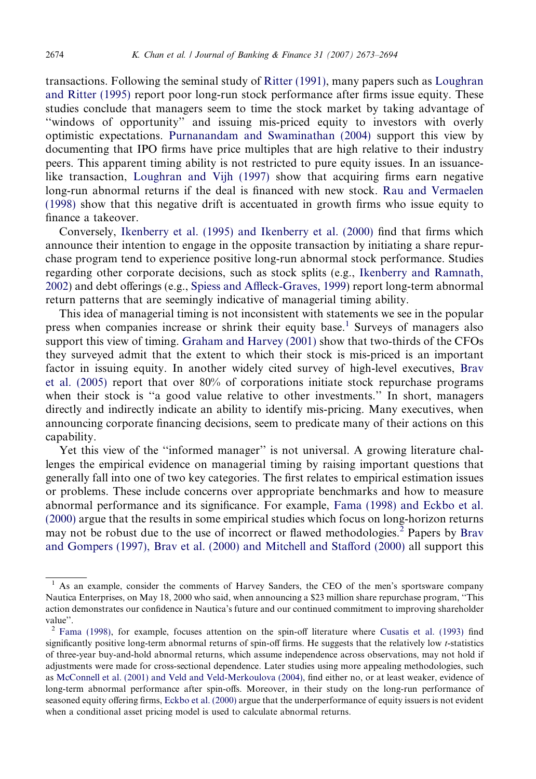transactions. Following the seminal study of [Ritter \(1991\),](#page--1-0) many papers such as [Loughran](#page--1-0) [and Ritter \(1995\)](#page--1-0) report poor long-run stock performance after firms issue equity. These studies conclude that managers seem to time the stock market by taking advantage of ''windows of opportunity'' and issuing mis-priced equity to investors with overly optimistic expectations. [Purnanandam and Swaminathan \(2004\)](#page--1-0) support this view by documenting that IPO firms have price multiples that are high relative to their industry peers. This apparent timing ability is not restricted to pure equity issues. In an issuancelike transaction, [Loughran and Vijh \(1997\)](#page--1-0) show that acquiring firms earn negative long-run abnormal returns if the deal is financed with new stock. [Rau and Vermaelen](#page--1-0) [\(1998\)](#page--1-0) show that this negative drift is accentuated in growth firms who issue equity to finance a takeover.

Conversely, [Ikenberry et al. \(1995\) and Ikenberry et al. \(2000\)](#page--1-0) find that firms which announce their intention to engage in the opposite transaction by initiating a share repurchase program tend to experience positive long-run abnormal stock performance. Studies regarding other corporate decisions, such as stock splits (e.g., [Ikenberry and Ramnath,](#page--1-0) [2002\)](#page--1-0) and debt offerings (e.g., [Spiess and Affleck-Graves, 1999](#page--1-0)) report long-term abnormal return patterns that are seemingly indicative of managerial timing ability.

This idea of managerial timing is not inconsistent with statements we see in the popular press when companies increase or shrink their equity base.<sup>1</sup> Surveys of managers also support this view of timing. [Graham and Harvey \(2001\)](#page--1-0) show that two-thirds of the CFOs they surveyed admit that the extent to which their stock is mis-priced is an important factor in issuing equity. In another widely cited survey of high-level executives, [Brav](#page--1-0) [et al. \(2005\)](#page--1-0) report that over 80% of corporations initiate stock repurchase programs when their stock is "a good value relative to other investments." In short, managers directly and indirectly indicate an ability to identify mis-pricing. Many executives, when announcing corporate financing decisions, seem to predicate many of their actions on this capability.

Yet this view of the ''informed manager'' is not universal. A growing literature challenges the empirical evidence on managerial timing by raising important questions that generally fall into one of two key categories. The first relates to empirical estimation issues or problems. These include concerns over appropriate benchmarks and how to measure abnormal performance and its significance. For example, [Fama \(1998\) and Eckbo et al.](#page--1-0) [\(2000\)](#page--1-0) argue that the results in some empirical studies which focus on long-horizon returns may not be robust due to the use of incorrect or flawed methodologies.<sup>2</sup> Papers by [Brav](#page--1-0) [and Gompers \(1997\), Brav et al. \(2000\) and Mitchell and Stafford \(2000\)](#page--1-0) all support this

<sup>1</sup> As an example, consider the comments of Harvey Sanders, the CEO of the men's sportsware company Nautica Enterprises, on May 18, 2000 who said, when announcing a \$23 million share repurchase program, ''This action demonstrates our confidence in Nautica's future and our continued commitment to improving shareholder value''.

<sup>2</sup> [Fama \(1998\),](#page--1-0) for example, focuses attention on the spin-off literature where [Cusatis et al. \(1993\)](#page--1-0) find significantly positive long-term abnormal returns of spin-off firms. He suggests that the relatively low t-statistics of three-year buy-and-hold abnormal returns, which assume independence across observations, may not hold if adjustments were made for cross-sectional dependence. Later studies using more appealing methodologies, such as [McConnell et al. \(2001\) and Veld and Veld-Merkoulova \(2004\)](#page--1-0), find either no, or at least weaker, evidence of long-term abnormal performance after spin-offs. Moreover, in their study on the long-run performance of seasoned equity offering firms, [Eckbo et al. \(2000\)](#page--1-0) argue that the underperformance of equity issuers is not evident when a conditional asset pricing model is used to calculate abnormal returns.